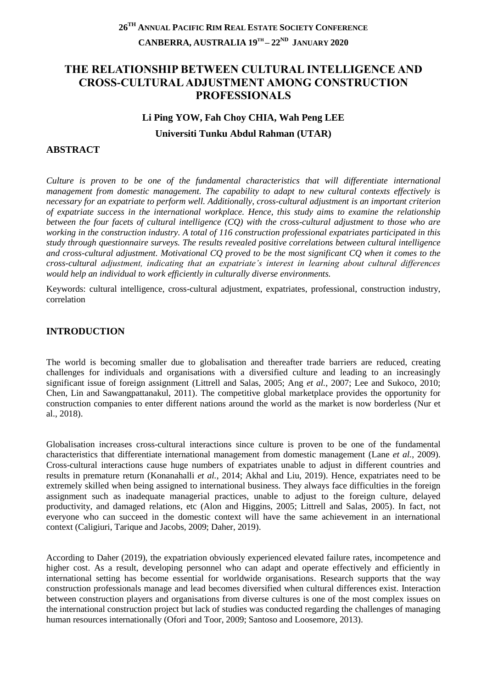# **26TH ANNUAL PACIFIC RIM REAL ESTATE SOCIETY CONFERENCE CANBERRA, AUSTRALIA 19TH – 22ND JANUARY 2020**

# **THE RELATIONSHIP BETWEEN CULTURAL INTELLIGENCE AND CROSS-CULTURAL ADJUSTMENT AMONG CONSTRUCTION PROFESSIONALS**

#### **Li Ping YOW, Fah Choy CHIA, Wah Peng LEE**

**Universiti Tunku Abdul Rahman (UTAR)**

### **ABSTRACT**

*Culture is proven to be one of the fundamental characteristics that will differentiate international management from domestic management. The capability to adapt to new cultural contexts effectively is necessary for an expatriate to perform well. Additionally, cross-cultural adjustment is an important criterion of expatriate success in the international workplace. Hence, this study aims to examine the relationship between the four facets of cultural intelligence (CQ) with the cross-cultural adjustment to those who are working in the construction industry. A total of 116 construction professional expatriates participated in this study through questionnaire surveys. The results revealed positive correlations between cultural intelligence and cross-cultural adjustment. Motivational CQ proved to be the most significant CQ when it comes to the cross-cultural adjustment, indicating that an expatriate's interest in learning about cultural differences would help an individual to work efficiently in culturally diverse environments.*

Keywords: cultural intelligence, cross-cultural adjustment, expatriates, professional, construction industry, correlation

### **INTRODUCTION**

The world is becoming smaller due to globalisation and thereafter trade barriers are reduced, creating challenges for individuals and organisations with a diversified culture and leading to an increasingly significant issue of foreign assignment (Littrell and Salas, 2005; Ang *et al.*, 2007; Lee and Sukoco, 2010; Chen, Lin and Sawangpattanakul, 2011). The competitive global marketplace provides the opportunity for construction companies to enter different nations around the world as the market is now borderless (Nur et al., 2018).

Globalisation increases cross-cultural interactions since culture is proven to be one of the fundamental characteristics that differentiate international management from domestic management (Lane *et al.*, 2009). Cross-cultural interactions cause huge numbers of expatriates unable to adjust in different countries and results in premature return (Konanahalli *et al.*, 2014; Akhal and Liu, 2019). Hence, expatriates need to be extremely skilled when being assigned to international business. They always face difficulties in the foreign assignment such as inadequate managerial practices, unable to adjust to the foreign culture, delayed productivity, and damaged relations, etc (Alon and Higgins, 2005; Littrell and Salas, 2005). In fact, not everyone who can succeed in the domestic context will have the same achievement in an international context (Caligiuri, Tarique and Jacobs, 2009; Daher, 2019).

According to Daher (2019), the expatriation obviously experienced elevated failure rates, incompetence and higher cost. As a result, developing personnel who can adapt and operate effectively and efficiently in international setting has become essential for worldwide organisations. Research supports that the way construction professionals manage and lead becomes diversified when cultural differences exist. Interaction between construction players and organisations from diverse cultures is one of the most complex issues on the international construction project but lack of studies was conducted regarding the challenges of managing human resources internationally (Ofori and Toor, 2009; Santoso and Loosemore, 2013).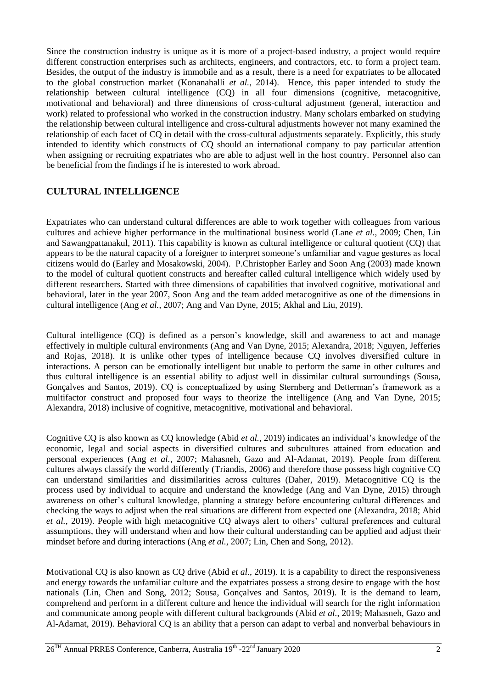Since the construction industry is unique as it is more of a project-based industry, a project would require different construction enterprises such as architects, engineers, and contractors, etc. to form a project team. Besides, the output of the industry is immobile and as a result, there is a need for expatriates to be allocated to the global construction market (Konanahalli *et al.*, 2014). Hence, this paper intended to study the relationship between cultural intelligence (CQ) in all four dimensions (cognitive, metacognitive, motivational and behavioral) and three dimensions of cross-cultural adjustment (general, interaction and work) related to professional who worked in the construction industry. Many scholars embarked on studying the relationship between cultural intelligence and cross-cultural adjustments however not many examined the relationship of each facet of CQ in detail with the cross-cultural adjustments separately. Explicitly, this study intended to identify which constructs of CQ should an international company to pay particular attention when assigning or recruiting expatriates who are able to adjust well in the host country. Personnel also can be beneficial from the findings if he is interested to work abroad.

# **CULTURAL INTELLIGENCE**

Expatriates who can understand cultural differences are able to work together with colleagues from various cultures and achieve higher performance in the multinational business world (Lane *et al.*, 2009; Chen, Lin and Sawangpattanakul, 2011). This capability is known as cultural intelligence or cultural quotient (CQ) that appears to be the natural capacity of a foreigner to interpret someone's unfamiliar and vague gestures as local citizens would do (Earley and Mosakowski, 2004). P.Christopher Earley and Soon Ang (2003) made known to the model of cultural quotient constructs and hereafter called cultural intelligence which widely used by different researchers. Started with three dimensions of capabilities that involved cognitive, motivational and behavioral, later in the year 2007, Soon Ang and the team added metacognitive as one of the dimensions in cultural intelligence (Ang *et al.*, 2007; Ang and Van Dyne, 2015; Akhal and Liu, 2019).

Cultural intelligence (CQ) is defined as a person's knowledge, skill and awareness to act and manage effectively in multiple cultural environments (Ang and Van Dyne, 2015; Alexandra, 2018; Nguyen, Jefferies and Rojas, 2018). It is unlike other types of intelligence because CQ involves diversified culture in interactions. A person can be emotionally intelligent but unable to perform the same in other cultures and thus cultural intelligence is an essential ability to adjust well in dissimilar cultural surroundings (Sousa, Gonçalves and Santos, 2019). CQ is conceptualized by using Sternberg and Detterman's framework as a multifactor construct and proposed four ways to theorize the intelligence (Ang and Van Dyne, 2015; Alexandra, 2018) inclusive of cognitive, metacognitive, motivational and behavioral.

Cognitive CQ is also known as CQ knowledge (Abid *et al.*, 2019) indicates an individual's knowledge of the economic, legal and social aspects in diversified cultures and subcultures attained from education and personal experiences (Ang *et al.*, 2007; Mahasneh, Gazo and Al-Adamat, 2019). People from different cultures always classify the world differently (Triandis, 2006) and therefore those possess high cognitive CQ can understand similarities and dissimilarities across cultures (Daher, 2019). Metacognitive CQ is the process used by individual to acquire and understand the knowledge (Ang and Van Dyne, 2015) through awareness on other's cultural knowledge, planning a strategy before encountering cultural differences and checking the ways to adjust when the real situations are different from expected one (Alexandra, 2018; Abid *et al.*, 2019). People with high metacognitive CQ always alert to others' cultural preferences and cultural assumptions, they will understand when and how their cultural understanding can be applied and adjust their mindset before and during interactions (Ang *et al.*, 2007; Lin, Chen and Song, 2012).

Motivational CQ is also known as CQ drive (Abid *et al.*, 2019). It is a capability to direct the responsiveness and energy towards the unfamiliar culture and the expatriates possess a strong desire to engage with the host nationals (Lin, Chen and Song, 2012; Sousa, Gonçalves and Santos, 2019). It is the demand to learn, comprehend and perform in a different culture and hence the individual will search for the right information and communicate among people with different cultural backgrounds (Abid *et al.*, 2019; Mahasneh, Gazo and Al-Adamat, 2019). Behavioral CQ is an ability that a person can adapt to verbal and nonverbal behaviours in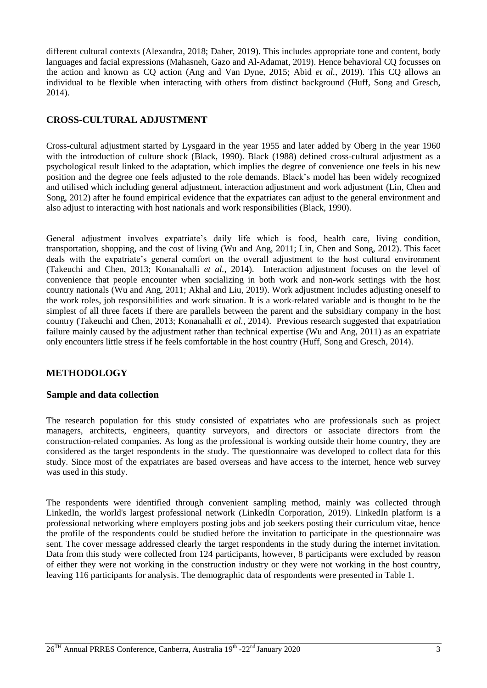different cultural contexts (Alexandra, 2018; Daher, 2019). This includes appropriate tone and content, body languages and facial expressions (Mahasneh, Gazo and Al-Adamat, 2019). Hence behavioral CQ focusses on the action and known as CQ action (Ang and Van Dyne, 2015; Abid *et al.*, 2019). This CQ allows an individual to be flexible when interacting with others from distinct background (Huff, Song and Gresch, 2014).

## **CROSS-CULTURAL ADJUSTMENT**

Cross-cultural adjustment started by Lysgaard in the year 1955 and later added by Oberg in the year 1960 with the introduction of culture shock (Black, 1990). Black (1988) defined cross-cultural adjustment as a psychological result linked to the adaptation, which implies the degree of convenience one feels in his new position and the degree one feels adjusted to the role demands. Black's model has been widely recognized and utilised which including general adjustment, interaction adjustment and work adjustment (Lin, Chen and Song, 2012) after he found empirical evidence that the expatriates can adjust to the general environment and also adjust to interacting with host nationals and work responsibilities (Black, 1990).

General adjustment involves expatriate's daily life which is food, health care, living condition, transportation, shopping, and the cost of living (Wu and Ang, 2011; Lin, Chen and Song, 2012). This facet deals with the expatriate's general comfort on the overall adjustment to the host cultural environment (Takeuchi and Chen, 2013; Konanahalli *et al.*, 2014). Interaction adjustment focuses on the level of convenience that people encounter when socializing in both work and non-work settings with the host country nationals (Wu and Ang, 2011; Akhal and Liu, 2019). Work adjustment includes adjusting oneself to the work roles, job responsibilities and work situation. It is a work-related variable and is thought to be the simplest of all three facets if there are parallels between the parent and the subsidiary company in the host country (Takeuchi and Chen, 2013; Konanahalli *et al.*, 2014). Previous research suggested that expatriation failure mainly caused by the adjustment rather than technical expertise (Wu and Ang, 2011) as an expatriate only encounters little stress if he feels comfortable in the host country (Huff, Song and Gresch, 2014).

# **METHODOLOGY**

### **Sample and data collection**

The research population for this study consisted of expatriates who are professionals such as project managers, architects, engineers, quantity surveyors, and directors or associate directors from the construction-related companies. As long as the professional is working outside their home country, they are considered as the target respondents in the study. The questionnaire was developed to collect data for this study. Since most of the expatriates are based overseas and have access to the internet, hence web survey was used in this study.

The respondents were identified through convenient sampling method, mainly was collected through LinkedIn, the world's largest professional network (LinkedIn Corporation, 2019). LinkedIn platform is a professional networking where employers posting jobs and job seekers posting their curriculum vitae, hence the profile of the respondents could be studied before the invitation to participate in the questionnaire was sent. The cover message addressed clearly the target respondents in the study during the internet invitation. Data from this study were collected from 124 participants, however, 8 participants were excluded by reason of either they were not working in the construction industry or they were not working in the host country, leaving 116 participants for analysis. The demographic data of respondents were presented in Table 1.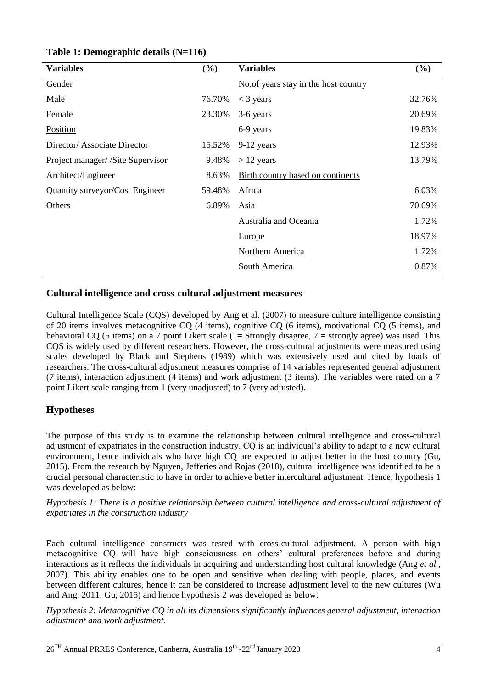| <b>Variables</b>                  | (%)    | <b>Variables</b>                      | (%)    |
|-----------------------------------|--------|---------------------------------------|--------|
| Gender                            |        | No. of years stay in the host country |        |
| Male                              | 76.70% | $<$ 3 years                           | 32.76% |
| Female                            | 23.30% | 3-6 years                             | 20.69% |
| Position                          |        | 6-9 years                             | 19.83% |
| Director/Associate Director       | 15.52% | 9-12 years                            | 12.93% |
| Project manager/ /Site Supervisor | 9.48%  | $> 12$ years                          | 13.79% |
| Architect/Engineer                | 8.63%  | Birth country based on continents     |        |
| Quantity surveyor/Cost Engineer   | 59.48% | Africa                                | 6.03%  |
| Others                            | 6.89%  | Asia                                  | 70.69% |
|                                   |        | Australia and Oceania                 | 1.72%  |
|                                   |        | Europe                                | 18.97% |
|                                   |        | Northern America                      | 1.72%  |
|                                   |        | South America                         | 0.87%  |
|                                   |        |                                       |        |

### **Table 1: Demographic details (N=116)**

### **Cultural intelligence and cross-cultural adjustment measures**

Cultural Intelligence Scale (CQS) developed by Ang et al. (2007) to measure culture intelligence consisting of 20 items involves metacognitive CQ (4 items), cognitive CQ (6 items), motivational CQ (5 items), and behavioral CQ (5 items) on a 7 point Likert scale (1= Strongly disagree,  $7 =$  strongly agree) was used. This CQS is widely used by different researchers. However, the cross-cultural adjustments were measured using scales developed by Black and Stephens (1989) which was extensively used and cited by loads of researchers. The cross-cultural adjustment measures comprise of 14 variables represented general adjustment (7 items), interaction adjustment (4 items) and work adjustment (3 items). The variables were rated on a 7 point Likert scale ranging from 1 (very unadjusted) to 7 (very adjusted).

# **Hypotheses**

The purpose of this study is to examine the relationship between cultural intelligence and cross-cultural adjustment of expatriates in the construction industry. CQ is an individual's ability to adapt to a new cultural environment, hence individuals who have high CQ are expected to adjust better in the host country (Gu, 2015). From the research by Nguyen, Jefferies and Rojas (2018), cultural intelligence was identified to be a crucial personal characteristic to have in order to achieve better intercultural adjustment. Hence, hypothesis 1 was developed as below:

*Hypothesis 1: There is a positive relationship between cultural intelligence and cross-cultural adjustment of expatriates in the construction industry*

Each cultural intelligence constructs was tested with cross-cultural adjustment. A person with high metacognitive CQ will have high consciousness on others' cultural preferences before and during interactions as it reflects the individuals in acquiring and understanding host cultural knowledge (Ang *et al.*, 2007). This ability enables one to be open and sensitive when dealing with people, places, and events between different cultures, hence it can be considered to increase adjustment level to the new cultures (Wu and Ang, 2011; Gu, 2015) and hence hypothesis 2 was developed as below:

*Hypothesis 2: Metacognitive CQ in all its dimensions significantly influences general adjustment, interaction adjustment and work adjustment.*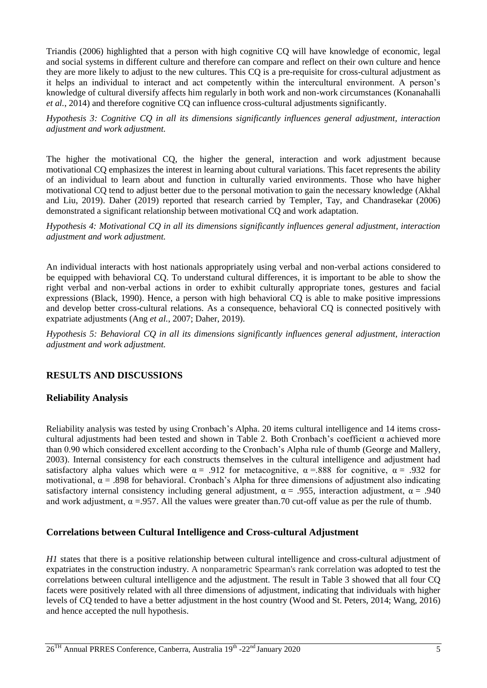Triandis (2006) highlighted that a person with high cognitive CQ will have knowledge of economic, legal and social systems in different culture and therefore can compare and reflect on their own culture and hence they are more likely to adjust to the new cultures. This CQ is a pre-requisite for cross-cultural adjustment as it helps an individual to interact and act competently within the intercultural environment. A person's knowledge of cultural diversify affects him regularly in both work and non-work circumstances (Konanahalli *et al.*, 2014) and therefore cognitive CQ can influence cross-cultural adjustments significantly.

*Hypothesis 3: Cognitive CQ in all its dimensions significantly influences general adjustment, interaction adjustment and work adjustment.*

The higher the motivational CQ, the higher the general, interaction and work adjustment because motivational CQ emphasizes the interest in learning about cultural variations. This facet represents the ability of an individual to learn about and function in culturally varied environments. Those who have higher motivational CQ tend to adjust better due to the personal motivation to gain the necessary knowledge (Akhal and Liu, 2019). Daher (2019) reported that research carried by Templer, Tay, and Chandrasekar (2006) demonstrated a significant relationship between motivational CQ and work adaptation.

*Hypothesis 4: Motivational CQ in all its dimensions significantly influences general adjustment, interaction adjustment and work adjustment.*

An individual interacts with host nationals appropriately using verbal and non-verbal actions considered to be equipped with behavioral CQ. To understand cultural differences, it is important to be able to show the right verbal and non-verbal actions in order to exhibit culturally appropriate tones, gestures and facial expressions (Black, 1990). Hence, a person with high behavioral CQ is able to make positive impressions and develop better cross-cultural relations. As a consequence, behavioral CQ is connected positively with expatriate adjustments (Ang *et al.*, 2007; Daher, 2019).

*Hypothesis 5: Behavioral CQ in all its dimensions significantly influences general adjustment, interaction adjustment and work adjustment.*

# **RESULTS AND DISCUSSIONS**

### **Reliability Analysis**

Reliability analysis was tested by using Cronbach's Alpha. 20 items cultural intelligence and 14 items crosscultural adjustments had been tested and shown in Table 2. Both Cronbach's coefficient  $\alpha$  achieved more than 0.90 which considered excellent according to the Cronbach's Alpha rule of thumb (George and Mallery, 2003). Internal consistency for each constructs themselves in the cultural intelligence and adjustment had satisfactory alpha values which were  $\alpha = .912$  for metacognitive,  $\alpha = .888$  for cognitive,  $\alpha = .932$  for motivational,  $\alpha$  = .898 for behavioral. Cronbach's Alpha for three dimensions of adjustment also indicating satisfactory internal consistency including general adjustment,  $\alpha = .955$ , interaction adjustment,  $\alpha = .940$ and work adjustment,  $\alpha = 957$ . All the values were greater than.70 cut-off value as per the rule of thumb.

### **Correlations between Cultural Intelligence and Cross-cultural Adjustment**

*H1* states that there is a positive relationship between cultural intelligence and cross-cultural adjustment of expatriates in the construction industry. A nonparametric Spearman's rank correlation was adopted to test the correlations between cultural intelligence and the adjustment. The result in Table 3 showed that all four CQ facets were positively related with all three dimensions of adjustment, indicating that individuals with higher levels of CQ tended to have a better adjustment in the host country (Wood and St. Peters, 2014; Wang, 2016) and hence accepted the null hypothesis.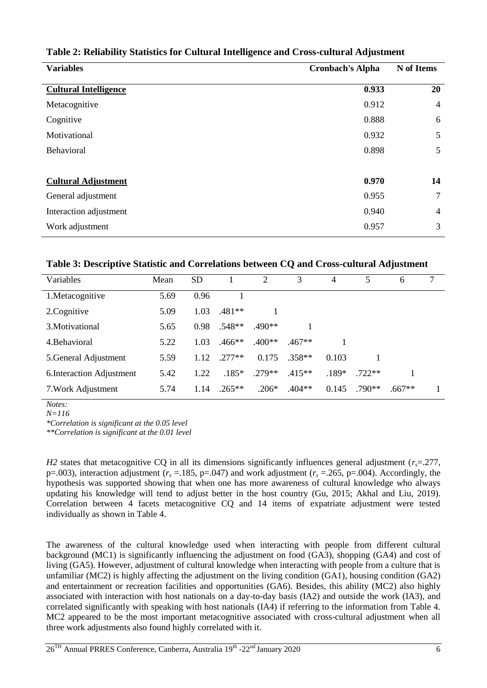| <b>Variables</b><br><b>Cronbach's Alpha</b> |       | N of Items     |
|---------------------------------------------|-------|----------------|
| <b>Cultural Intelligence</b>                | 0.933 | 20             |
| Metacognitive                               | 0.912 | $\overline{4}$ |
| Cognitive                                   | 0.888 | 6              |
| Motivational                                | 0.932 | 5              |
| Behavioral                                  | 0.898 | 5              |
| <b>Cultural Adjustment</b>                  | 0.970 | 14             |
| General adjustment                          | 0.955 | 7              |
| Interaction adjustment                      | 0.940 | $\overline{4}$ |
| Work adjustment                             | 0.957 | 3              |

# **Table 2: Reliability Statistics for Cultural Intelligence and Cross-cultural Adjustment**

### **Table 3: Descriptive Statistic and Correlations between CQ and Cross-cultural Adjustment**

| Variables                 | Mean | <b>SD</b> |          | 2        | 3        | 4       | 5        | 6        | $\tau$ |
|---------------------------|------|-----------|----------|----------|----------|---------|----------|----------|--------|
| 1.Metacognitive           | 5.69 | 0.96      |          |          |          |         |          |          |        |
| 2. Cognitive              | 5.09 | 1.03      | $.481**$ |          |          |         |          |          |        |
| 3. Motivational           | 5.65 | 0.98      | $.548**$ | $.490**$ |          |         |          |          |        |
| 4. Behavioral             | 5.22 | 1.03      | $.466**$ | $.400**$ | $.467**$ |         |          |          |        |
| 5. General Adjustment     | 5.59 | 1.12      | $277**$  | 0.175    | $.358**$ | 0.103   |          |          |        |
| 6. Interaction Adjustment | 5.42 | 1.22      | $.185*$  | $.279**$ | $.415**$ | $.189*$ | $.722**$ |          |        |
| 7. Work Adjustment        | 5.74 | 1.14      | $.265**$ | $.206*$  | $.404**$ | 0.145   | $.790**$ | $.667**$ |        |

*Notes: N=116*

*\*Correlation is significant at the 0.05 level*

*\*\*Correlation is significant at the 0.01 level*

*H2* states that metacognitive CO in all its dimensions significantly influences general adjustment (*r*<sub>*s*</sub>=.277, p=.003), interaction adjustment ( $r_s$  =.185, p=.047) and work adjustment ( $r_s$  =.265, p=.004). Accordingly, the hypothesis was supported showing that when one has more awareness of cultural knowledge who always updating his knowledge will tend to adjust better in the host country (Gu, 2015; Akhal and Liu, 2019). Correlation between 4 facets metacognitive CQ and 14 items of expatriate adjustment were tested individually as shown in Table 4.

The awareness of the cultural knowledge used when interacting with people from different cultural background (MC1) is significantly influencing the adjustment on food (GA3), shopping (GA4) and cost of living (GA5). However, adjustment of cultural knowledge when interacting with people from a culture that is unfamiliar (MC2) is highly affecting the adjustment on the living condition (GA1), housing condition (GA2) and entertainment or recreation facilities and opportunities (GA6). Besides, this ability (MC2) also highly associated with interaction with host nationals on a day-to-day basis (IA2) and outside the work (IA3), and correlated significantly with speaking with host nationals (IA4) if referring to the information from Table 4. MC2 appeared to be the most important metacognitive associated with cross-cultural adjustment when all three work adjustments also found highly correlated with it.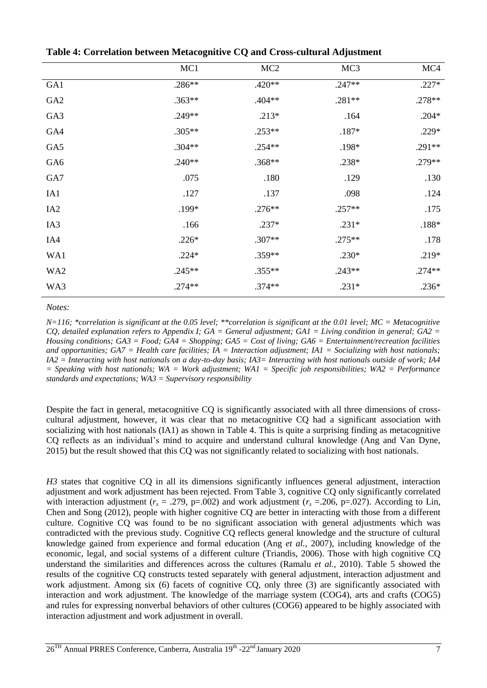|                 | MC1      | MC <sub>2</sub> | MC <sub>3</sub> | MC4      |
|-----------------|----------|-----------------|-----------------|----------|
| GA1             | .286**   | $.420**$        | $.247**$        | $.227*$  |
| GA <sub>2</sub> | $.363**$ | $.404**$        | $.281**$        | .278**   |
| GA3             | .249**   | $.213*$         | .164            | $.204*$  |
| GA4             | $.305**$ | $.253**$        | $.187*$         | $.229*$  |
| GA5             | $.304**$ | $.254**$        | .198*           | $.291**$ |
| GA6             | $.240**$ | $.368**$        | $.238*$         | .279**   |
| GA7             | .075     | .180            | .129            | .130     |
| IA1             | .127     | .137            | .098            | .124     |
| IA <sub>2</sub> | .199*    | $.276**$        | $.257**$        | .175     |
| IA3             | .166     | $.237*$         | $.231*$         | $.188*$  |
| IA4             | $.226*$  | $.307**$        | $.275**$        | .178     |
| WA1             | $.224*$  | .359**          | $.230*$         | $.219*$  |
| WA <sub>2</sub> | $.245**$ | $.355**$        | $.243**$        | $.274**$ |
| WA3             | $.274**$ | $.374**$        | $.231*$         | $.236*$  |

**Table 4: Correlation between Metacognitive CQ and Cross-cultural Adjustment**

*Notes:* 

*N=116; \*correlation is significant at the 0.05 level; \*\*correlation is significant at the 0.01 level; MC = Metacognitive CQ, detailed explanation refers to Appendix I; GA = General adjustment; GA1 = Living condition in general; GA2 = Housing conditions; GA3 = Food; GA4 = Shopping; GA5 = Cost of living; GA6 = Entertainment/recreation facilities and opportunities; GA7 = Health care facilities; IA = Interaction adjustment; IA1 = Socializing with host nationals; IA2 = Interacting with host nationals on a day-to-day basis; IA3= Interacting with host nationals outside of work; IA4 = Speaking with host nationals; WA = Work adjustment; WA1 = Specific job responsibilities; WA2 = Performance standards and expectations; WA3 = Supervisory responsibility* 

Despite the fact in general, metacognitive CQ is significantly associated with all three dimensions of crosscultural adjustment, however, it was clear that no metacognitive CQ had a significant association with socializing with host nationals (IA1) as shown in Table 4. This is quite a surprising finding as metacognitive CQ reflects as an individual's mind to acquire and understand cultural knowledge (Ang and Van Dyne, 2015) but the result showed that this CQ was not significantly related to socializing with host nationals.

*H3* states that cognitive CQ in all its dimensions significantly influences general adjustment, interaction adjustment and work adjustment has been rejected. From Table 3, cognitive CQ only significantly correlated with interaction adjustment ( $r_s = .279$ , p=.002) and work adjustment ( $r_s = .206$ , p=.027). According to Lin, Chen and Song (2012), people with higher cognitive CQ are better in interacting with those from a different culture. Cognitive CQ was found to be no significant association with general adjustments which was contradicted with the previous study. Cognitive CQ reflects general knowledge and the structure of cultural knowledge gained from experience and formal education (Ang *et al.*, 2007), including knowledge of the economic, legal, and social systems of a different culture (Triandis, 2006). Those with high cognitive CQ understand the similarities and differences across the cultures (Ramalu *et al.*, 2010). Table 5 showed the results of the cognitive CQ constructs tested separately with general adjustment, interaction adjustment and work adjustment. Among six (6) facets of cognitive CQ, only three (3) are significantly associated with interaction and work adjustment. The knowledge of the marriage system (COG4), arts and crafts (COG5) and rules for expressing nonverbal behaviors of other cultures (COG6) appeared to be highly associated with interaction adjustment and work adjustment in overall.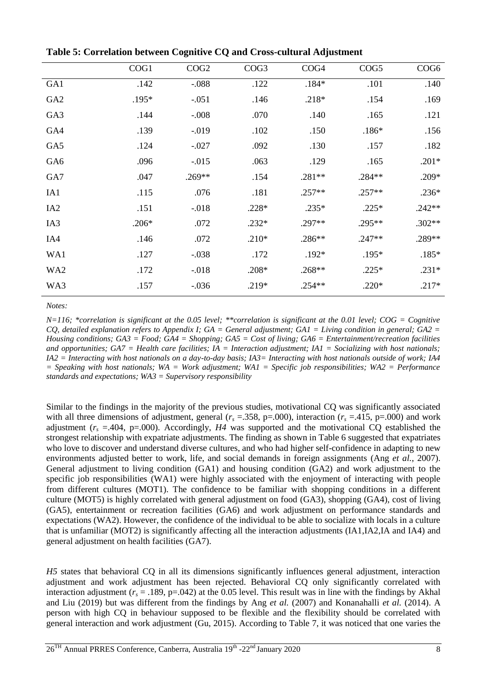|                 | COG1    | COG2     | COG <sub>3</sub> | COG <sub>4</sub> | COG5     | COG <sub>6</sub> |
|-----------------|---------|----------|------------------|------------------|----------|------------------|
| GA1             | .142    | $-.088$  | .122             | $.184*$          | .101     | .140             |
| GA <sub>2</sub> | $.195*$ | $-.051$  | .146             | .218*            | .154     | .169             |
| GA3             | .144    | $-.008$  | .070             | .140             | .165     | .121             |
| GA4             | .139    | $-0.019$ | .102             | .150             | $.186*$  | .156             |
| GA5             | .124    | $-.027$  | .092             | .130             | .157     | .182             |
| GA6             | .096    | $-.015$  | .063             | .129             | .165     | $.201*$          |
| GA7             | .047    | $.269**$ | .154             | .281**           | $.284**$ | $.209*$          |
| IA1             | .115    | .076     | .181             | $.257**$         | $.257**$ | $.236*$          |
| IA <sub>2</sub> | .151    | $-0.018$ | $.228*$          | $.235*$          | $.225*$  | $.242**$         |
| IA3             | $.206*$ | .072     | $.232*$          | $.297**$         | .295**   | $.302**$         |
| IA4             | .146    | .072     | $.210*$          | .286**           | $.247**$ | .289**           |
| WA1             | .127    | $-.038$  | .172             | $.192*$          | .195*    | $.185*$          |
| WA2             | .172    | $-.018$  | $.208*$          | $.268**$         | $.225*$  | $.231*$          |
| WA3             | .157    | $-0.036$ | $.219*$          | $.254**$         | $.220*$  | $.217*$          |

**Table 5: Correlation between Cognitive CQ and Cross-cultural Adjustment**

*Notes:* 

*N=116; \*correlation is significant at the 0.05 level; \*\*correlation is significant at the 0.01 level; COG = Cognitive CQ, detailed explanation refers to Appendix I; GA = General adjustment; GA1 = Living condition in general; GA2 = Housing conditions; GA3 = Food; GA4 = Shopping; GA5 = Cost of living; GA6 = Entertainment/recreation facilities and opportunities; GA7 = Health care facilities; IA = Interaction adjustment; IA1 = Socializing with host nationals; IA2 = Interacting with host nationals on a day-to-day basis; IA3= Interacting with host nationals outside of work; IA4 = Speaking with host nationals; WA = Work adjustment; WA1 = Specific job responsibilities; WA2 = Performance standards and expectations; WA3 = Supervisory responsibility* 

Similar to the findings in the majority of the previous studies, motivational CQ was significantly associated with all three dimensions of adjustment, general  $(r_s = .358, p = .000)$ , interaction  $(r_s = .415, p = .000)$  and work adjustment  $(r_s = .404, p = .000)$ . Accordingly, *H4* was supported and the motivational CQ established the strongest relationship with expatriate adjustments. The finding as shown in Table 6 suggested that expatriates who love to discover and understand diverse cultures, and who had higher self-confidence in adapting to new environments adjusted better to work, life, and social demands in foreign assignments (Ang *et al.*, 2007). General adjustment to living condition (GA1) and housing condition (GA2) and work adjustment to the specific job responsibilities (WA1) were highly associated with the enjoyment of interacting with people from different cultures (MOT1). The confidence to be familiar with shopping conditions in a different culture (MOT5) is highly correlated with general adjustment on food (GA3), shopping (GA4), cost of living (GA5), entertainment or recreation facilities (GA6) and work adjustment on performance standards and expectations (WA2). However, the confidence of the individual to be able to socialize with locals in a culture that is unfamiliar (MOT2) is significantly affecting all the interaction adjustments (IA1,IA2,IA and IA4) and general adjustment on health facilities (GA7).

*H5* states that behavioral CQ in all its dimensions significantly influences general adjustment, interaction adjustment and work adjustment has been rejected. Behavioral CQ only significantly correlated with interaction adjustment ( $r_s = .189$ , p=.042) at the 0.05 level. This result was in line with the findings by Akhal and Liu (2019) but was different from the findings by Ang *et al.* (2007) and Konanahalli *et al.* (2014). A person with high CQ in behaviour supposed to be flexible and the flexibility should be correlated with general interaction and work adjustment (Gu, 2015). According to Table 7, it was noticed that one varies the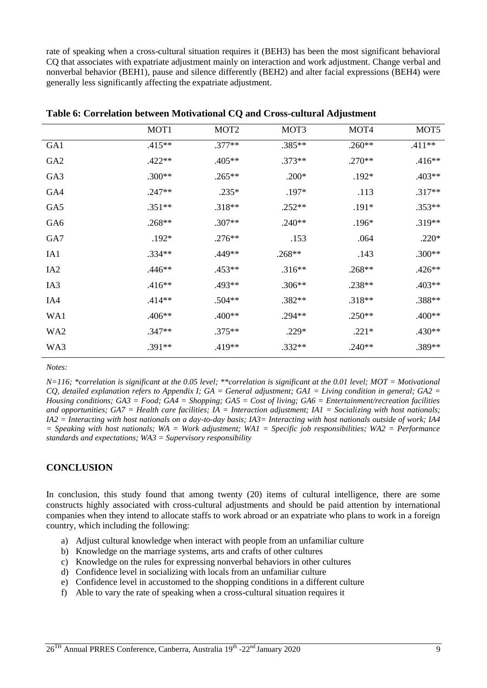rate of speaking when a cross-cultural situation requires it (BEH3) has been the most significant behavioral CQ that associates with expatriate adjustment mainly on interaction and work adjustment. Change verbal and nonverbal behavior (BEH1), pause and silence differently (BEH2) and alter facial expressions (BEH4) were generally less significantly affecting the expatriate adjustment.

|                 | MOT1      | MOT <sub>2</sub> | MOT3     | MOT4     | MOT <sub>5</sub> |
|-----------------|-----------|------------------|----------|----------|------------------|
| GA1             | $.415***$ | $.377**$         | .385**   | $.260**$ | .411**           |
| GA <sub>2</sub> | $.422**$  | .405**           | $.373**$ | $.270**$ | $.416**$         |
| GA3             | $.300**$  | $.265***$        | $.200*$  | $.192*$  | $.403**$         |
| GA4             | $.247**$  | $.235*$          | .197*    | .113     | $.317**$         |
| GA5             | $.351**$  | $.318**$         | $.252**$ | $.191*$  | $.353**$         |
| GA6             | $.268**$  | $.307**$         | $.240**$ | $.196*$  | $.319**$         |
| GA7             | $.192*$   | $.276**$         | .153     | .064     | $.220*$          |
| IA1             | $.334**$  | .449**           | $.268**$ | .143     | $.300**$         |
| IA <sub>2</sub> | $.446**$  | $.453**$         | $.316**$ | $.268**$ | $.426**$         |
| IA3             | $.416**$  | .493**           | $.306**$ | $.238**$ | $.403**$         |
| IA4             | $.414**$  | $.504**$         | .382**   | $.318**$ | .388**           |
| WA1             | $.406**$  | .400**           | $.294**$ | $.250**$ | .400**           |
| WA <sub>2</sub> | $.347**$  | $.375**$         | $.229*$  | $.221*$  | $.430**$         |
| WA3             | .391**    | .419**           | $.332**$ | $.240**$ | .389**           |

**Table 6: Correlation between Motivational CQ and Cross-cultural Adjustment**

*Notes:* 

*N=116; \*correlation is significant at the 0.05 level; \*\*correlation is significant at the 0.01 level; MOT = Motivational CQ, detailed explanation refers to Appendix I; GA = General adjustment; GA1 = Living condition in general; GA2 = Housing conditions; GA3 = Food; GA4 = Shopping; GA5 = Cost of living; GA6 = Entertainment/recreation facilities and opportunities; GA7 = Health care facilities; IA = Interaction adjustment; IA1 = Socializing with host nationals; IA2 = Interacting with host nationals on a day-to-day basis; IA3= Interacting with host nationals outside of work; IA4 = Speaking with host nationals; WA = Work adjustment; WA1 = Specific job responsibilities; WA2 = Performance standards and expectations; WA3 = Supervisory responsibility* 

# **CONCLUSION**

In conclusion, this study found that among twenty (20) items of cultural intelligence, there are some constructs highly associated with cross-cultural adjustments and should be paid attention by international companies when they intend to allocate staffs to work abroad or an expatriate who plans to work in a foreign country, which including the following:

- a) Adjust cultural knowledge when interact with people from an unfamiliar culture
- b) Knowledge on the marriage systems, arts and crafts of other cultures
- c) Knowledge on the rules for expressing nonverbal behaviors in other cultures
- d) Confidence level in socializing with locals from an unfamiliar culture
- e) Confidence level in accustomed to the shopping conditions in a different culture
- f) Able to vary the rate of speaking when a cross-cultural situation requires it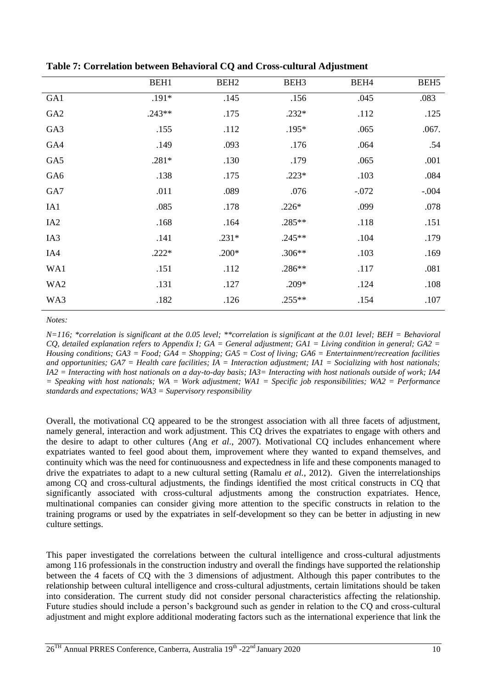|                 | BEH1     | BEH <sub>2</sub> | BEH <sub>3</sub> | BEH4    | BEH <sub>5</sub> |
|-----------------|----------|------------------|------------------|---------|------------------|
| GA1             | $.191*$  | .145             | .156             | .045    | .083             |
| GA <sub>2</sub> | $.243**$ | .175             | $.232*$          | .112    | .125             |
| GA3             | .155     | .112             | .195*            | .065    | .067.            |
| GA4             | .149     | .093             | .176             | .064    | .54              |
| GA5             | $.281*$  | .130             | .179             | .065    | .001             |
| GA6             | .138     | .175             | $.223*$          | .103    | .084             |
| GA7             | .011     | .089             | .076             | $-.072$ | $-.004$          |
| IA1             | .085     | .178             | $.226*$          | .099    | .078             |
| IA <sub>2</sub> | .168     | .164             | .285**           | .118    | .151             |
| IA3             | .141     | $.231*$          | $.245**$         | .104    | .179             |
| IA4             | $.222*$  | $.200*$          | $.306**$         | .103    | .169             |
| WA1             | .151     | .112             | .286**           | .117    | .081             |
| WA2             | .131     | .127             | $.209*$          | .124    | .108             |
| WA3             | .182     | .126             | $.255**$         | .154    | .107             |

**Table 7: Correlation between Behavioral CQ and Cross-cultural Adjustment**

*Notes:* 

*N=116; \*correlation is significant at the 0.05 level; \*\*correlation is significant at the 0.01 level; BEH = Behavioral CQ, detailed explanation refers to Appendix I; GA = General adjustment; GA1 = Living condition in general; GA2 = Housing conditions; GA3 = Food; GA4 = Shopping; GA5 = Cost of living; GA6 = Entertainment/recreation facilities and opportunities; GA7 = Health care facilities; IA = Interaction adjustment; IA1 = Socializing with host nationals; IA2 = Interacting with host nationals on a day-to-day basis; IA3= Interacting with host nationals outside of work; IA4 = Speaking with host nationals; WA = Work adjustment; WA1 = Specific job responsibilities; WA2 = Performance standards and expectations; WA3 = Supervisory responsibility* 

Overall, the motivational CQ appeared to be the strongest association with all three facets of adjustment, namely general, interaction and work adjustment. This CQ drives the expatriates to engage with others and the desire to adapt to other cultures (Ang *et al.*, 2007). Motivational CQ includes enhancement where expatriates wanted to feel good about them, improvement where they wanted to expand themselves, and continuity which was the need for continuousness and expectedness in life and these components managed to drive the expatriates to adapt to a new cultural setting (Ramalu *et al.*, 2012). Given the interrelationships among CQ and cross-cultural adjustments, the findings identified the most critical constructs in CQ that significantly associated with cross-cultural adjustments among the construction expatriates. Hence, multinational companies can consider giving more attention to the specific constructs in relation to the training programs or used by the expatriates in self-development so they can be better in adjusting in new culture settings.

This paper investigated the correlations between the cultural intelligence and cross-cultural adjustments among 116 professionals in the construction industry and overall the findings have supported the relationship between the 4 facets of CQ with the 3 dimensions of adjustment. Although this paper contributes to the relationship between cultural intelligence and cross-cultural adjustments, certain limitations should be taken into consideration. The current study did not consider personal characteristics affecting the relationship. Future studies should include a person's background such as gender in relation to the CQ and cross-cultural adjustment and might explore additional moderating factors such as the international experience that link the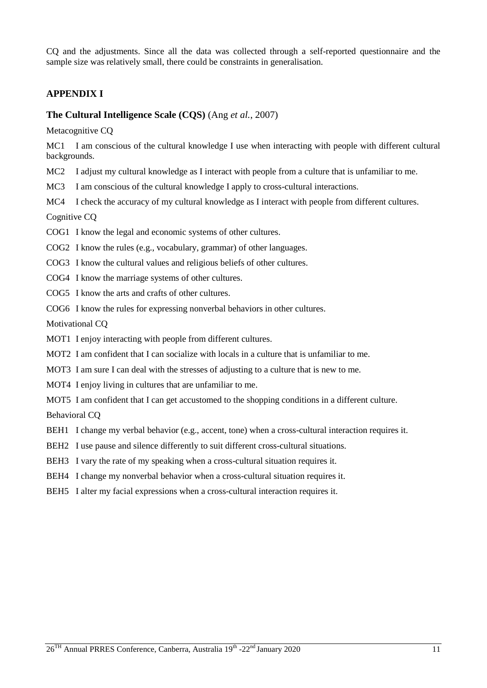CQ and the adjustments. Since all the data was collected through a self-reported questionnaire and the sample size was relatively small, there could be constraints in generalisation.

## **APPENDIX I**

#### **The Cultural Intelligence Scale (CQS)** (Ang *et al.*, 2007)

Metacognitive CQ

MC1 I am conscious of the cultural knowledge I use when interacting with people with different cultural backgrounds.

- MC2 I adjust my cultural knowledge as I interact with people from a culture that is unfamiliar to me.
- MC3 I am conscious of the cultural knowledge I apply to cross-cultural interactions.
- MC4 I check the accuracy of my cultural knowledge as I interact with people from different cultures.

Cognitive CQ

COG1 I know the legal and economic systems of other cultures.

COG2 I know the rules (e.g., vocabulary, grammar) of other languages.

COG3 I know the cultural values and religious beliefs of other cultures.

COG4 I know the marriage systems of other cultures.

COG5 I know the arts and crafts of other cultures.

COG6 I know the rules for expressing nonverbal behaviors in other cultures.

Motivational CQ

MOT1 I enjoy interacting with people from different cultures.

MOT2 I am confident that I can socialize with locals in a culture that is unfamiliar to me.

MOT3 I am sure I can deal with the stresses of adjusting to a culture that is new to me.

MOT4 I enjoy living in cultures that are unfamiliar to me.

MOT5 I am confident that I can get accustomed to the shopping conditions in a different culture.

Behavioral CQ

- BEH1 I change my verbal behavior (e.g., accent, tone) when a cross-cultural interaction requires it.
- BEH2 I use pause and silence differently to suit different cross-cultural situations.

BEH3 I vary the rate of my speaking when a cross-cultural situation requires it.

BEH4 I change my nonverbal behavior when a cross-cultural situation requires it.

BEH5 I alter my facial expressions when a cross-cultural interaction requires it.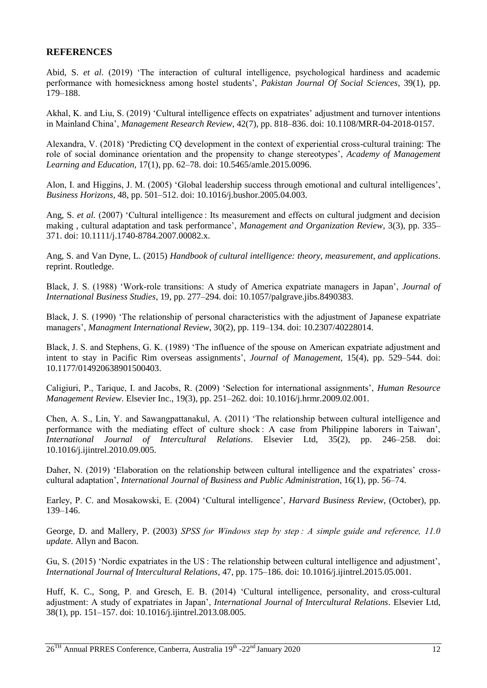### **REFERENCES**

Abid, S. *et al.* (2019) 'The interaction of cultural intelligence, psychological hardiness and academic performance with homesickness among hostel students', *Pakistan Journal Of Social Sciences*, 39(1), pp. 179–188.

Akhal, K. and Liu, S. (2019) 'Cultural intelligence effects on expatriates' adjustment and turnover intentions in Mainland China', *Management Research Review*, 42(7), pp. 818–836. doi: 10.1108/MRR-04-2018-0157.

Alexandra, V. (2018) 'Predicting CQ development in the context of experiential cross-cultural training: The role of social dominance orientation and the propensity to change stereotypes', *Academy of Management Learning and Education*, 17(1), pp. 62–78. doi: 10.5465/amle.2015.0096.

Alon, I. and Higgins, J. M. (2005) 'Global leadership success through emotional and cultural intelligences', *Business Horizons*, 48, pp. 501–512. doi: 10.1016/j.bushor.2005.04.003.

Ang, S. *et al.* (2007) 'Cultural intelligence : Its measurement and effects on cultural judgment and decision making , cultural adaptation and task performance', *Management and Organization Review*, 3(3), pp. 335– 371. doi: 10.1111/j.1740-8784.2007.00082.x.

Ang, S. and Van Dyne, L. (2015) *Handbook of cultural intelligence: theory, measurement, and applications*. reprint. Routledge.

Black, J. S. (1988) 'Work-role transitions: A study of America expatriate managers in Japan', *Journal of International Business Studies*, 19, pp. 277–294. doi: 10.1057/palgrave.jibs.8490383.

Black, J. S. (1990) 'The relationship of personal characteristics with the adjustment of Japanese expatriate managers', *Managment International Review*, 30(2), pp. 119–134. doi: 10.2307/40228014.

Black, J. S. and Stephens, G. K. (1989) 'The influence of the spouse on American expatriate adjustment and intent to stay in Pacific Rim overseas assignments', *Journal of Management*, 15(4), pp. 529–544. doi: 10.1177/014920638901500403.

Caligiuri, P., Tarique, I. and Jacobs, R. (2009) 'Selection for international assignments', *Human Resource Management Review*. Elsevier Inc., 19(3), pp. 251–262. doi: 10.1016/j.hrmr.2009.02.001.

Chen, A. S., Lin, Y. and Sawangpattanakul, A. (2011) 'The relationship between cultural intelligence and performance with the mediating effect of culture shock : A case from Philippine laborers in Taiwan', *International Journal of Intercultural Relations*. Elsevier Ltd, 35(2), pp. 246–258. doi: 10.1016/j.ijintrel.2010.09.005.

Daher, N. (2019) 'Elaboration on the relationship between cultural intelligence and the expatriates' crosscultural adaptation', *International Journal of Business and Public Administration*, 16(1), pp. 56–74.

Earley, P. C. and Mosakowski, E. (2004) 'Cultural intelligence', *Harvard Business Review*, (October), pp. 139–146.

George, D. and Mallery, P. (2003) *SPSS for Windows step by step : A simple guide and reference, 11.0 update*. Allyn and Bacon.

Gu, S. (2015) 'Nordic expatriates in the US : The relationship between cultural intelligence and adjustment', *International Journal of Intercultural Relations*, 47, pp. 175–186. doi: 10.1016/j.ijintrel.2015.05.001.

Huff, K. C., Song, P. and Gresch, E. B. (2014) 'Cultural intelligence, personality, and cross-cultural adjustment: A study of expatriates in Japan', *International Journal of Intercultural Relations*. Elsevier Ltd, 38(1), pp. 151–157. doi: 10.1016/j.ijintrel.2013.08.005.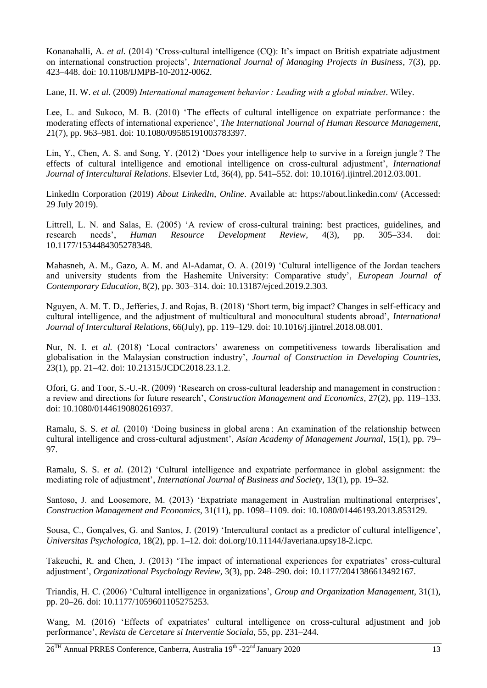Konanahalli, A. *et al.* (2014) 'Cross-cultural intelligence (CQ): It's impact on British expatriate adjustment on international construction projects', *International Journal of Managing Projects in Business*, 7(3), pp. 423–448. doi: 10.1108/IJMPB-10-2012-0062.

Lane, H. W. *et al.* (2009) *International management behavior : Leading with a global mindset*. Wiley.

Lee, L. and Sukoco, M. B. (2010) 'The effects of cultural intelligence on expatriate performance : the moderating effects of international experience', *The International Journal of Human Resource Management*, 21(7), pp. 963–981. doi: 10.1080/09585191003783397.

Lin, Y., Chen, A. S. and Song, Y. (2012) 'Does your intelligence help to survive in a foreign jungle ? The effects of cultural intelligence and emotional intelligence on cross-cultural adjustment', *International Journal of Intercultural Relations*. Elsevier Ltd, 36(4), pp. 541–552. doi: 10.1016/j.ijintrel.2012.03.001.

LinkedIn Corporation (2019) *About LinkedIn*, *Online*. Available at: https://about.linkedin.com/ (Accessed: 29 July 2019).

Littrell, L. N. and Salas, E. (2005) 'A review of cross-cultural training: best practices, guidelines, and research needs', *Human Resource Development Review*, 4(3), pp. 305–334. doi: 10.1177/1534484305278348.

Mahasneh, A. M., Gazo, A. M. and Al-Adamat, O. A. (2019) 'Cultural intelligence of the Jordan teachers and university students from the Hashemite University: Comparative study', *European Journal of Contemporary Education*, 8(2), pp. 303–314. doi: 10.13187/ejced.2019.2.303.

Nguyen, A. M. T. D., Jefferies, J. and Rojas, B. (2018) 'Short term, big impact? Changes in self-efficacy and cultural intelligence, and the adjustment of multicultural and monocultural students abroad', *International Journal of Intercultural Relations*, 66(July), pp. 119–129. doi: 10.1016/j.ijintrel.2018.08.001.

Nur, N. I. *et al.* (2018) 'Local contractors' awareness on competitiveness towards liberalisation and globalisation in the Malaysian construction industry', *Journal of Construction in Developing Countries*, 23(1), pp. 21–42. doi: 10.21315/JCDC2018.23.1.2.

Ofori, G. and Toor, S.-U.-R. (2009) 'Research on cross-cultural leadership and management in construction : a review and directions for future research', *Construction Management and Economics*, 27(2), pp. 119–133. doi: 10.1080/01446190802616937.

Ramalu, S. S. *et al.* (2010) 'Doing business in global arena : An examination of the relationship between cultural intelligence and cross-cultural adjustment', *Asian Academy of Management Journal*, 15(1), pp. 79– 97.

Ramalu, S. S. *et al.* (2012) 'Cultural intelligence and expatriate performance in global assignment: the mediating role of adjustment', *International Journal of Business and Society*, 13(1), pp. 19–32.

Santoso, J. and Loosemore, M. (2013) 'Expatriate management in Australian multinational enterprises', *Construction Management and Economics*, 31(11), pp. 1098–1109. doi: 10.1080/01446193.2013.853129.

Sousa, C., Gonçalves, G. and Santos, J. (2019) 'Intercultural contact as a predictor of cultural intelligence', *Universitas Psychologica*, 18(2), pp. 1–12. doi: doi.org/10.11144/Javeriana.upsy18-2.icpc.

Takeuchi, R. and Chen, J. (2013) 'The impact of international experiences for expatriates' cross-cultural adjustment', *Organizational Psychology Review*, 3(3), pp. 248–290. doi: 10.1177/2041386613492167.

Triandis, H. C. (2006) 'Cultural intelligence in organizations', *Group and Organization Management*, 31(1), pp. 20–26. doi: 10.1177/1059601105275253.

Wang, M. (2016) 'Effects of expatriates' cultural intelligence on cross-cultural adjustment and job performance', *Revista de Cercetare si Interventie Sociala*, 55, pp. 231–244.